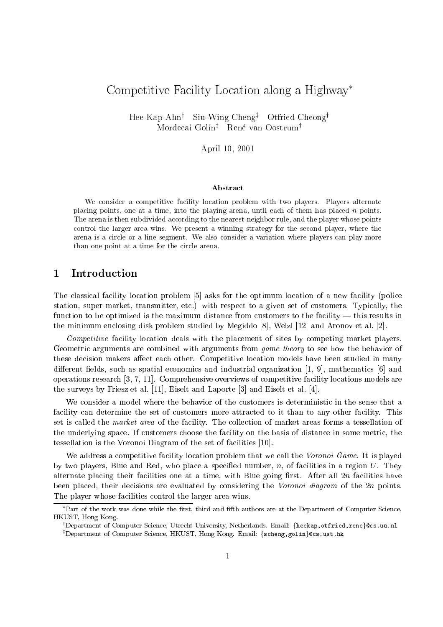# Competitive Facility Location along <sup>a</sup> Highway

Hee-Kap Ahn<sup>†</sup> Siu-Wing Cheng<sup>†</sup> Otfried Cheong<sup>†</sup> Mordecai Golin<sup>‡</sup> René van Oostrum<sup>†</sup>

April 10, 2001

#### Abstract

We consider a competitive facility location problem with two players. Players alternate placing points, one at a time, into the playing arena, until each of them has placed  $n$  points. The arena is then subdivided according to the nearest-neighbor rule, and the player whose points control the larger area wins. We present a winning strategy for the second player, where the arena is a circle or a line segment. We also consider a variation where players can play more than one point at a time for the circle arena.

#### **Introduction**  $\mathbf 1$

The classical facility location problem [5] asks for the optimum location of a new facility (police station, super market, transmitter, etc.) with respect to a given set of customers. Typically, the function to be optimized is the maximum distance from customers to the facility  $-$  this results in the minimum enclosing disk problem studied by Megiddo [8], Welzl [12] and Aronov et al. [2].

Competitive facility location deals with the placement of sites by competing market players. Geometric arguments are combined with arguments from game theory to see how the behavior of these decision makers affect each other. Competitive location models have been studied in many different fields, such as spatial economics and industrial organization  $[1, 9]$ , mathematics  $[6]$  and operations research [3, 7, 11]. Comprehensive overviews of competitive facility locations models are the surveys by Friesz et al. [11], Eiselt and Laporte [3] and Eiselt et al. [4].

We consider a model where the behavior of the customers is deterministic in the sense that a facility can determine the set of customers more attracted to it than to any other facility. This set is called the market area of the facility. The collection of market areas forms a tessellation of the underlying space. If customers choose the facility on the basis of distance in some metric, the tessellation is the Voronoi Diagram of the set of facilities [10].

We address a competitive facility location problem that we call the Voronoi Game. It is played by two players, Blue and Red, who place a specified number,  $n$ , of facilities in a region U. They alternate placing their facilities one at a time, with Blue going first. After all  $2n$  facilities have been placed, their decisions are evaluated by considering the Voronoi diagram of the  $2n$  points. The player whose facilities control the larger area wins.

<sup>\*</sup>Part of the work was done while the first, third and fifth authors are at the Department of Computer Science, HKUST, Hong Kong.

 $^\dagger$ Department of Computer Science, Utrecht University, Netherlands. Email: {heekap,otfried,rene}@cs.uu.nl  $^\texttt{I}$ Department of Computer Science, HKUST, Hong Kong. Email: {scheng,golin}@cs.ust.hk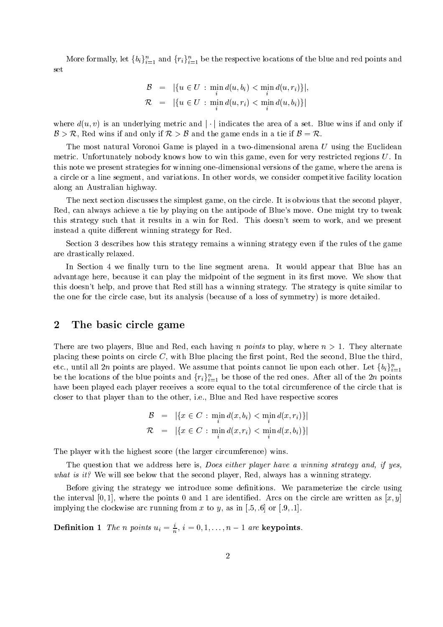More formally, let  $\{b_i\}_{i=1}^n$  and  $\{r_i\}_{i=1}^n$  be the respective locations of the blue and red points and set

$$
\mathcal{B} = |\{u \in U : \min_i d(u, b_i) < \min_i d(u, r_i)\}|,
$$
\n
$$
\mathcal{R} = |\{u \in U : \min_i d(u, r_i) < \min_i d(u, b_i)\}|
$$

where  $d(u, v)$  is an underlying metric and | | indicates the area of a set. Blue wins if and only if  $\mathcal{B} > \mathcal{R}$ , Red wins if and only if  $\mathcal{R} > \mathcal{B}$  and the game ends in a tie if  $\mathcal{B} = \mathcal{R}$ .

The most natural Voronoi Game is played in a two-dimensional arena  $U$  using the Euclidean metric. Unfortunately nobody knows how to win this game, even for very restricted regions U. In this note we present strategies for winning one-dimensional versions of the game, where the arena is a circle or a line segment, and variations. In other words, we consider competitive facility location along an Australian highway.

The next section discusses the simplest game, on the circle. It is obvious that the second player, Red, can always achieve a tie by playing on the antipode of Blue's move. One might try to tweak this strategy such that it results in a win for Red. This doesn't seem to work, and we present instead a quite different winning strategy for Red.

Section 3 describes how this strategy remains a winning strategy even if the rules of the game are drastically relaxed.

In Section 4 we finally turn to the line segment arena. It would appear that Blue has an advantage here, because it can play the midpoint of the segment in its first move. We show that this doesn't help, and prove that Red still has a winning strategy. The strategy is quite similar to the one for the circle case, but its analysis (because of a loss of symmetry) is more detailed.

### 2 The basic circle game

There are two players, Blue and Red, each having n points to play, where  $n > 1$ . They alternate placing these points on circle  $C$ , with Blue placing the first point, Red the second, Blue the third. etc., until all 2n points are played. We assume that points cannot lie upon each other. Let  $\{b_i\}_{i=1}^n$ be the locations of the blue points and  $\{r_i\}_{i=1}^n$  be those of the red ones. After all of the 2n points have been played each player receives a score equal to the total circumference of the circle that is closer to that player than to the other, i.e., Blue and Red have respective scores

$$
\mathcal{B} = |\{x \in C : \min_{i} d(x, b_i) < \min_{i} d(x, r_i)\}|
$$
\n
$$
\mathcal{R} = |\{x \in C : \min_{i} d(x, r_i) < \min_{i} d(x, b_i)\}|
$$

The player with the highest score (the larger circumference) wins.

The question that we address here is, *Does either player have a winning strategy and, if yes*, what is it? We will see below that the second player, Red, always has a winning strategy.

Before giving the strategy we introduce some definitions. We parameterize the circle using the interval [0, 1], where the points 0 and 1 are identified. Arcs on the circle are written as  $[x, y]$ implying the clockwise arc running from x to y, as in  $[.5, .6]$  or  $[.9, .1]$ .

**Definition 1** The n points  $u_i = \frac{1}{n}$ ,  $i = 0, 1, \ldots, n-1$  are **keypoints**.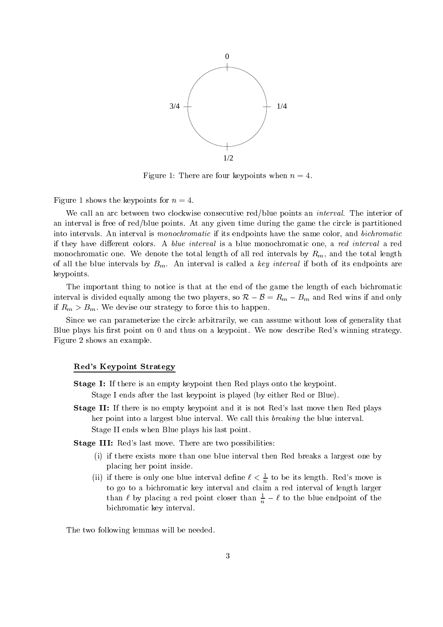

Figure 1: There are four keypoints when  $n = 4$ .

Figure 1 shows the keypoints for  $n = 4$ .

We call an arc between two clockwise consecutive red/blue points an *interval*. The interior of an interval is free of red/blue points. At any given time during the game the circle is partitioned into intervals. An interval is *monochromatic* if its endpoints have the same color, and *bichromatic* if they have different colors. A blue interval is a blue monochromatic one, a red interval a red monochromatic one. We denote the total length of all red intervals by  $R_m$ , and the total length of all the blue intervals by  $B_m$ . An interval is called a key interval if both of its endpoints are keypoints.

The important thing to notice is that at the end of the game the length of each bichromatic interval is divided equally among the two players, so  $\mathcal{R}-\mathcal{B}=R_m - B_m$  and Red wins if and only if  $R_m > B_m$ . We devise our strategy to force this to happen.

Since we can parameterize the circle arbitrarily, we can assume without loss of generality that Blue plays his first point on  $0$  and thus on a keypoint. We now describe Red's winning strategy. Figure 2 shows an example.

#### Red's Keypoint Strategy

Stage I: If there is an empty keypoint then Red plays onto the keypoint.

Stage I ends after the last keypoint is played (by either Red or Blue).

Stage II: If there is no empty keypoint and it is not Red's last move then Red plays her point into a largest blue interval. We call this breaking the blue interval. Stage II ends when Blue plays his last point.

Stage III: Red's last move. There are two possibilities:

- (i) if there exists more than one blue interval then Red breaks a largest one by placing her point inside.
- (ii) if there is only one blue interval define  $\ell < \frac{1}{n}$  to be its length. Red's move is to go to a bichromatic key interval and claim a red interval of length larger than  $\ell$  by placing a red point closer than  $\frac{1}{n} - \ell$  to the blue endpoint of the bichromatic key interval.

The two following lemmas will be needed.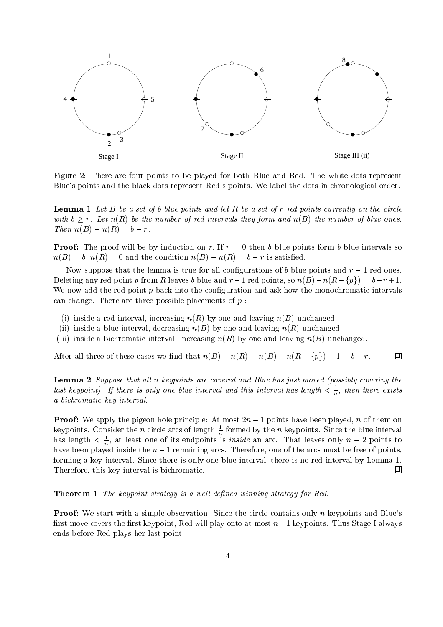

Figure 2: There are four points to be played for both Blue and Red. The white dots represent Blue's points and the black dots represent Red's points. We label the dots in chronological order.

 $\blacksquare$  . Let  $\blacksquare$  be a set of b blue points and let  $\blacksquare$  be a set of r red points currently on the circle with  $b > r$ . Let  $n(R)$  be the number of red intervals they form and  $n(B)$  the number of blue ones. Then  $n(B) - n(R) = b - r$ .

Proof: The proof will be by induction on r: If <sup>r</sup> = 0 then <sup>b</sup> blue points form <sup>b</sup> blue intervals so  $n(B) = b$ ,  $n(R) = 0$  and the condition  $n(B) - n(R) = b - r$  is satisfied.

Now suppose that the lemma is true for all configurations of b blue points and  $r-1$  red ones. Deleting any red point p from R leaves b blue and  $r - 1$  red points, so  $n(B) - n(R - \{p\}) = b - r + 1$ . We now add the red point  $p$  back into the configuration and ask how the monochromatic intervals can change. There are three possible placements of  $p$ :

- (i) inside a red interval, increasing  $n(R)$  by one and leaving  $n(B)$  unchanged.
- (ii) inside a blue interval, decreasing  $n(B)$  by one and leaving  $n(R)$  unchanged.
- (iii) inside a bichromatic interval, increasing  $n(R)$  by one and leaving  $n(B)$  unchanged.

After all three of these cases we find that  $n(B) - n(R) = n(B) - n(R - \{p\}) - 1 = b - r$ .

Lemma <sup>2</sup> Suppose that al l <sup>n</sup> keypoints are covered and Blue has just moved (possibly covering the last keypoint). If there is only one blue interval and this interval has length  $\lt \frac{1}{n}$ , then there exists a bichromatic key interval.

**F** FOOI: We apply the pigeon hole principle. At most  $2n - 1$  points have been played,  $n$  of them on keypoints. Consider the n circle arcs of length  $\frac{1}{n}$  formed by the n keypoints. Since the blue interval has length  $< \frac{1}{n}$ , at least one of its endpoints is *inside* an arc. That leaves only  $n - 2$  points to have been played inside the  $n-1$  remaining arcs. Therefore, one of the arcs must be free of points, forming a key interval. Since there is only one blue interval, there is no red interval by Lemma 1. Therefore, this key interval is bichromatic. 囙

#### $\blacksquare$   $\blacksquare$   $\blacksquare$   $\blacksquare$   $\blacksquare$   $\blacksquare$   $\blacksquare$   $\blacksquare$   $\blacksquare$   $\blacksquare$   $\blacksquare$   $\blacksquare$   $\blacksquare$   $\blacksquare$   $\blacksquare$   $\blacksquare$   $\blacksquare$   $\blacksquare$   $\blacksquare$   $\blacksquare$   $\blacksquare$   $\blacksquare$   $\blacksquare$   $\blacksquare$   $\blacksquare$   $\blacksquare$   $\blacksquare$   $\blacksquare$   $\blacksquare$   $\blacksquare$   $\blacksquare$   $\blacks$

**Proof:** We start with a simple observation. Since the circle contains only n keypoints and Blue's first move covers the first keypoint, Red will play onto at most  $n-1$  keypoints. Thus Stage I always ends before Red plays her last point.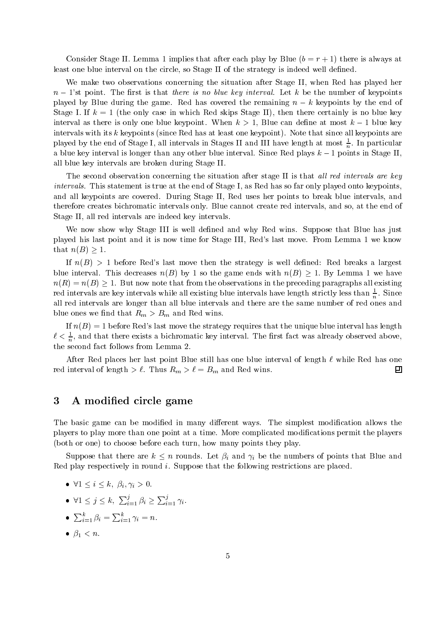Consider Stage II. Lemma 1 implies that after each play by Blue  $(b = r + 1)$  there is always at least one blue interval on the circle, so Stage II of the strategy is indeed well defined.

We make two observations concerning the situation after Stage II, when Red has played her  $n-1$ 'st point. The first is that there is no blue key interval. Let k be the number of keypoints played by Blue during the game. Red has covered the remaining  $n - k$  keypoints by the end of Stage I. If  $k = 1$  (the only case in which Red skips Stage II), then there certainly is no blue key interval as there is only one blue keypoint. When  $k > 1$ , Blue can define at most  $k - 1$  blue key intervals with its <sup>k</sup> keypoints (since Red has at least one keypoint). Note that since all keypoints are played by the end of Stage I, all intervals in Stages II and III have length at most  $\frac{1}{n}$ . In particular a blue key interval is longer than any other blue interval. Since Red plays  $k-1$  points in Stage II, all blue key intervals are broken during Stage II.

The second observation concerning the situation after stage II is that all red intervals are key intervals. This statement is true at the end of Stage I, as Red has so far only played onto keypoints, and all keypoints are covered. During Stage II, Red uses her points to break blue intervals, and therefore creates bichromatic intervals only. Blue cannot create red intervals, and so, at the end of Stage II, all red intervals are indeed key intervals.

We now show why Stage III is well defined and why Red wins. Suppose that Blue has just played his last point and it is now time for Stage III, Red's last move. From Lemma 1 we know that  $n(B) > 1$ .

If  $n(B) > 1$  before Red's last move then the strategy is well defined: Red breaks a largest blue interval. This decreases  $n(B)$  by 1 so the game ends with  $n(B) > 1$ . By Lemma 1 we have  $n(R) = n(B) \geq 1$ . But now note that from the observations in the preceding paragraphs all existing red intervals are key intervals while all existing blue intervals have length strictly less than  $\frac{1}{n}$ . Since all red intervals are longer than all blue intervals and there are the same number of red ones and blue ones we find that  $R_m > B_m$  and Red wins.

If  $n(B) = 1$  before Red's last move the strategy requires that the unique blue interval has length  $\ell < \frac{1}{n}$ , and that there exists a bichromatic key interval. The first fact was already observed above, the second fact follows from Lemma 2.

After Red places her last point Blue still has one blue interval of length  $\ell$  while Red has one red interval of length  $\geq \ell$ . Thus  $R_m > \ell = B_m$  and Red wins. 回

### 3 A modified circle game

The basic game can be modified in many different ways. The simplest modification allows the players to play more than one point at a time. More complicated modications permit the players (both or one) to choose before each turn, how many points they play.

Suppose that there are  $k \leq n$  rounds. Let  $\beta_i$  and  $\gamma_i$  be the numbers of points that Blue and Red play respectively in round i. Suppose that the following restrictions are placed.

- $\bullet \ \forall 1 \leq i \leq k, \ \beta_i, \gamma_i > 0.$
- $\forall 1 \leq j \leq k$ ,  $\sum_{i=1}^j \beta_i \geq \sum_{i=1}^j \gamma_i$ .
- $\bullet\;\sum_{i=1}^{\kappa}\beta_i=\sum_{i=1}^{\kappa}\gamma_i=n.$
- $\bullet$   $\beta_1 < n$ .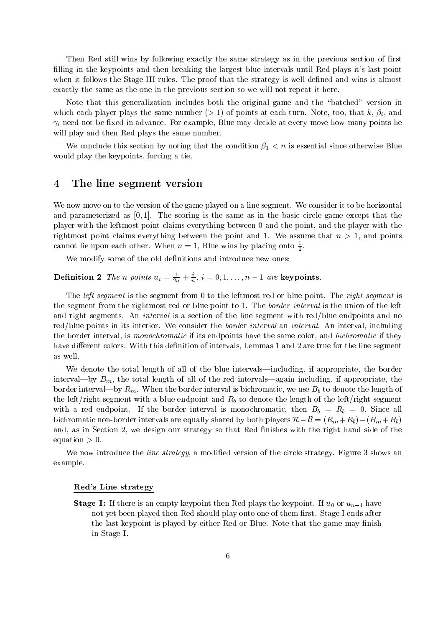Then Red still wins by following exactly the same strategy as in the previous section of first filling in the keypoints and then breaking the largest blue intervals until Red plays it's last point when it follows the Stage III rules. The proof that the strategy is well defined and wins is almost exactly the same as the one in the previous section so we will not repeat it here.

Note that this generalization includes both the original game and the "batched" version in which each player plays the same number ( $> 1$ ) of points at each turn. Note, too, that k,  $\beta_i$ , and  $\gamma_i$  need not be fixed in advance. For example, Blue may decide at every move how many points he will play and then Red plays the same number.

We conclude this section by noting that the condition  $\beta_1 < n$  is essential since otherwise Blue would play the keypoints, forcing a tie.

### 4 The line segment version

We now move on to the version of the game played on a line segment. We consider it to be horizontal and parameterized as  $[0, 1]$ . The scoring is the same as in the basic circle game except that the player with the leftmost point claims everything between 0 and the point, and the player with the rightmost point claims everything between the point and 1. We assume that  $n > 1$ , and points cannot lie upon each other. When  $n = 1$ , Blue wins by placing onto  $\frac{1}{2}$ .

We modify some of the old definitions and introduce new ones:

**Dennition 2** The n points  $u_i = \frac{1}{2n} + \frac{1}{n}$ ,  $i = 0, 1, \ldots, n-1$  are keypoints.

The *left segment* is the segment from 0 to the leftmost red or blue point. The *right segment* is the segment from the rightmost red or blue point to 1. The border interval is the union of the left and right segments. An *interval* is a section of the line segment with red/blue endpoints and no red/blue points in its interior. We consider the *border interval* an *interval*. An interval, including the border interval, is *monochromatic* if its endpoints have the same color, and *bichromatic* if they have different colors. With this definition of intervals, Lemmas 1 and 2 are true for the line segment as well.

We denote the total length of all of the blue intervals—including, if appropriate, the border interval—by  $B_m$ , the total length of all of the red intervals—again including, if appropriate, the border interval—by  $R_m$ . When the border interval is bichromatic, we use  $B_b$  to denote the length of the left/right segment with a blue endpoint and  $R_b$  to denote the length of the left/right segment with a red endpoint. If the border interval is monochromatic, then  $B_b = R_b = 0$ . Since all bichromatic non-border intervals are equally shared by both players  $\mathcal{R}-\mathcal{B} = (R_m + R_b)-(B_m + B_b)$ and, as in Section 2, we design our strategy so that Red finishes with the right hand side of the equation  $> 0$ .<br>We now introduce the *line strategy*, a modified version of the circle strategy. Figure 3 shows an

example.

#### Red's Line strategy

Stage I: If there is an empty keypoint then Red plays the keypoint. If u0 or un1 have not yet been played then Red should play onto one of them first. Stage I ends after the last keypoint is played by either Red or Blue. Note that the game may finish in Stage I.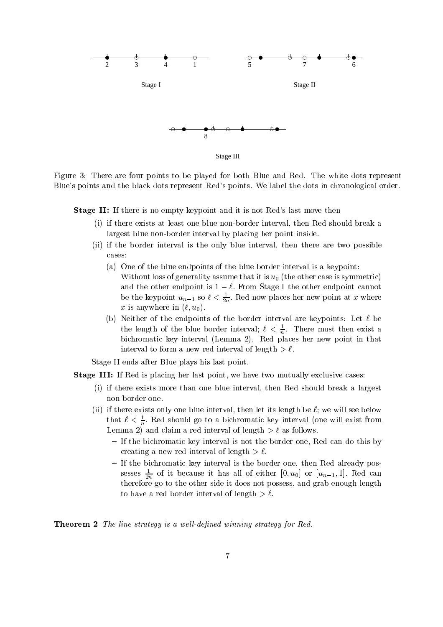

Stage III

Figure 3: There are four points to be played for both Blue and Red. The white dots represent Blue's points and the black dots represent Red's points. We label the dots in chronological order.

Stage II: If there is no empty keypoint and it is not Red's last move then

- (i) if there exists at least one blue non-border interval, then Red should break a largest blue non-border interval by placing her point inside.
- (ii) if the border interval is the only blue interval, then there are two possible cases:
	- (a) One of the blue endpoints of the blue border interval is a keypoint: Without loss of generality assume that it is  $u_0$  (the other case is symmetric) and the other endpoint is  $1 - \ell$ . From Stage I the other endpoint cannot be the keypoint  $u_{n-1}$  so  $\ell < \frac{1}{2n}$ . Red now places her new point at x where x is anywhere in  $(\ell, u_0)$ .
	- (b) Neither of the endpoints of the border interval are keypoints: Let  $\ell$  be the length of the blue border interval;  $\ell < \frac{1}{n}$ . There must then exist a bichromatic key interval (Lemma 2). Red places her new point in that interval to form a new red interval of length  $\geq \ell$ .

Stage II ends after Blue plays his last point.

Stage III: If Red is placing her last point, we have two mutually exclusive cases:

- (i) if there exists more than one blue interval, then Red should break a largest non-border one.
- (ii) if there exists only one blue interval, then let its length be  $\ell$ ; we will see below that  $\ell < \frac{1}{n}$ . Red should go to a bichromatic key interval (one will exist from Lemma 2) and claim a red interval of length  $\geq \ell$  as follows.
	- { If the bichromatic key interval is not the border one, Red can do this by
	- creating a new red interval or length  $>$   $\epsilon$ . sesses  $\frac{1}{2n}$  of it because it has all of either [0,  $u_0$ ] or  $[u_{n-1}, 1]$ . Red can therefore go to the other side it does not possess, and grab enough length to have a red border interval of length  $\geq \ell$ .

 $\blacksquare$   $\blacksquare$   $\blacksquare$   $\blacksquare$   $\blacksquare$   $\blacksquare$  is a well-defined winning strategy for  $\blacksquare$   $\blacksquare$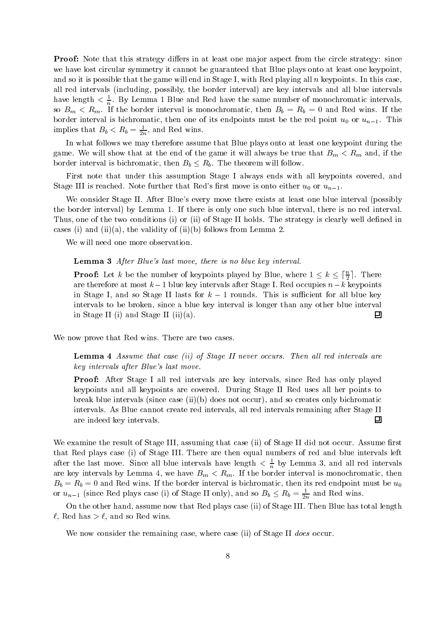Proof: Note that this strategy diers in at least one ma jor aspect from the circle strategy: since we have lost circular symmetry it cannot be guaranteed that Blue plays onto at least one keypoint, and so it is possible that the game will end in Stage I, with Red playing all  $n$  keypoints. In this case, all red intervals (including, possibly, the border interval) are key intervals and all blue intervals have length  $\langle \frac{1}{n} \rangle$ . By Lemma 1 Blue and Red have the same number of monochromatic intervals, so  $B_m \nvert R_m$ . If the border interval is monochromatic, then  $B_b = R_b = 0$  and Red wins. If the border interval is bichromatic, then one of its endpoints must be the red point  $u_0$  or  $u_{n-1}$ . This implies that  $B_b < R_b = \frac{1}{2n}$ , and Red wins.

In what follows we may therefore assume that Blue plays onto at least one keypoint during the game. We will show that at the end of the game it will always be true that  $B_m < R_m$  and, if the border interval is bichromatic, then  $B_b \leq R_b$ . The theorem will follow.

First note that under this assumption Stage I always ends with all keypoints covered, and Stage III is reached. Note further that Red's first move is onto either  $u_0$  or  $u_{n-1}$ .

We consider Stage II. After Blue's every move there exists at least one blue interval (possibly the border interval) by Lemma 1. If there is only one such blue interval, there is no red interval. Thus, one of the two conditions (i) or (ii) of Stage II holds. The strategy is clearly well defined in cases (i) and (ii)(a), the validity of (ii)(b) follows from Lemma 2.

We will need one more observation.

#### Lemma <sup>3</sup> After Blue's last move, there is no blue key interval.

**Proof:** Let k be the number of keypoints played by Blue, where  $1 \leq k \leq \lceil \frac{n}{2} \rceil$ . There are therefore at most  $k-1$  blue key intervals after Stage I. Red occupies  $n-k$  keypoints in Stage I, and so Stage II lasts for  $k-1$  rounds. This is sufficient for all blue key intervals to be broken, since a blue key interval is longer than any other blue interval in Stage II (i) and Stage II (ii)(a). 回

We now prove that Red wins. There are two cases.

Lemma <sup>4</sup> Assume that case (ii) of Stage II never occurs. Then al l red intervals are key intervals after Blue's last move.

Proof: After Stage I all red intervals are key intervals, since Red has only played keypoints and all keypoints are covered. During Stage II Red uses all her points to break blue intervals (since case (ii)(b) does not occur), and so creates only bichromatic intervals. As Blue cannot create red intervals, all red intervals remaining after Stage II are indeed key intervals.  $\boxed{1}$ 

We examine the result of Stage III, assuming that case (ii) of Stage II did not occur. Assume first that Red plays case (i) of Stage III. There are then equal numbers of red and blue intervals left after the last move. Since all blue intervals have length  $\langle \frac{1}{n} \rangle$  by Lemma 3, and all red intervals are key intervals by Lemma 4, we have  $B_m < R_m$ . If the border interval is monochromatic, then  $B_b = R_b = 0$  and Red wins. If the border interval is bichromatic, then its red endpoint must be  $u_0$ or  $u_{n-1}$  (since Red plays case (i) of Stage II only), and so  $B_b \le R_b = \frac{1}{2n}$  and Red wins.

On the other hand, assume now that Red plays case (ii) of Stage III. Then Blue has total length  $\ell$ , Red has  $>\ell$ , and so Red wins.

We now consider the remaining case, where case (ii) of Stage II does occur.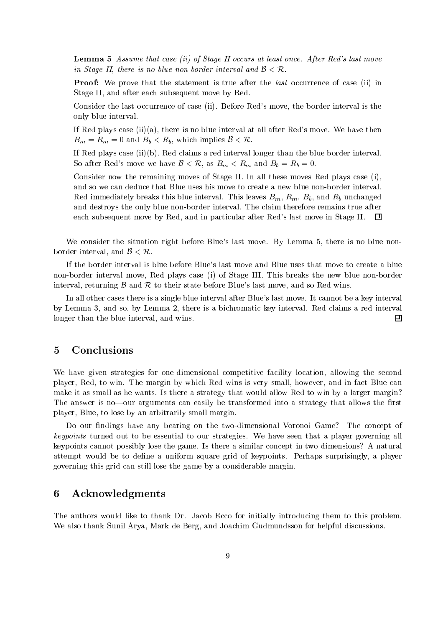**Lemma 5** Assume that case (ii) of Stage II occurs at least once. After Red's last move in Stage II, there is no blue non-border interval and  $\mathcal{B} < \mathcal{R}$ .

Proof: We prove that the statement is true after the last occurrence of case (ii) in Stage II, and after each subsequent move by Red.

Consider the last occurrence of case (ii). Before Red's move, the border interval is the only blue interval.

If Red plays case  $(ii)(a)$ , there is no blue interval at all after Red's move. We have then  $B_m = R_m = 0$  and  $B_b < R_b$ , which implies  $\mathcal{B} < \mathcal{R}$ .

If Red plays case (ii)(b), Red claims a red interval longer than the blue border interval. So after Red's move we have  $\mathcal{B} < \mathcal{R}$ , as  $B_m < R_m$  and  $B_b = R_b = 0$ .

Consider now the remaining moves of Stage II. In all these moves Red plays case (i), and so we can deduce that Blue uses his move to create a new blue non-border interval. Red immediately breaks this blue interval. This leaves  $B_m$ ,  $R_m$ ,  $B_b$ , and  $R_b$  unchanged and destroys the only blue non-border interval. The claim therefore remains true after each subsequent move by Red, and in particular after Red's last move in Stage II.  $\Box$ 

We consider the situation right before Blue's last move. By Lemma 5, there is no blue nonborder interval, and  $\beta < \mathcal{R}$ .

If the border interval is blue before Blue's last move and Blue uses that move to create a blue non-border interval move, Red plays case (i) of Stage III. This breaks the new blue non-border interval, returning  $\beta$  and  $\beta$  to their state before Blue's last move, and so Red wins.

In all other cases there is a single blue interval after Blue's last move. It cannot be a key interval by Lemma 3, and so, by Lemma 2, there is a bichromatic key interval. Red claims a red interval longer than the blue interval, and wins.  $\Box$ 

### 5 Conclusions

We have given strategies for one-dimensional competitive facility location, allowing the second player, Red, to win. The margin by which Red wins is very small, however, and in fact Blue can make it as small as he wants. Is there a strategy that would allow Red to win by a larger margin? The answer is no—our arguments can easily be transformed into a strategy that allows the first player, Blue, to lose by an arbitrarily small margin.

Do our findings have any bearing on the two-dimensional Voronoi Game? The concept of keypoints turned out to be essential to our strategies. We have seen that a player governing all keypoints cannot possibly lose the game. Is there a similar concept in two dimensions? A natural attempt would be to define a uniform square grid of keypoints. Perhaps surprisingly, a player governing this grid can still lose the game by a considerable margin.

### 6 Acknowledgments

The authors would like to thank Dr. Jacob Ecco for initially introducing them to this problem. We also thank Sunil Arya, Mark de Berg, and Joachim Gudmundsson for helpful discussions.